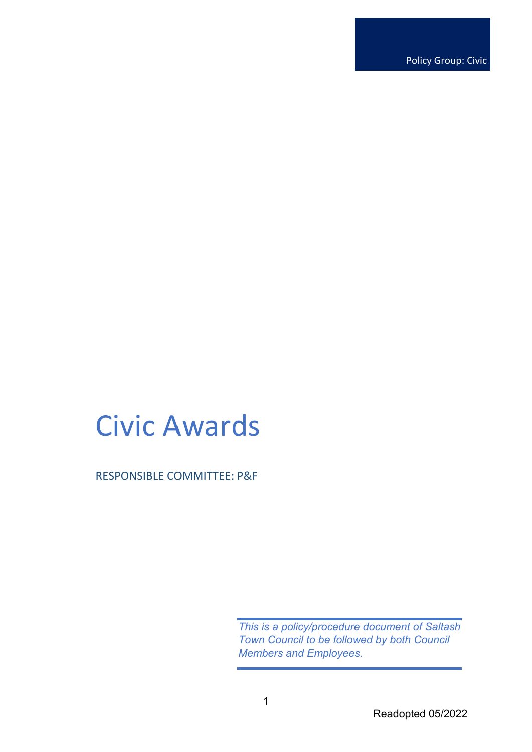Policy Group: Civic

# Civic Awards

RESPONSIBLE COMMITTEE: P&F

*This is a policy/procedure document of Saltash Town Council to be followed by both Council Members and Employees.*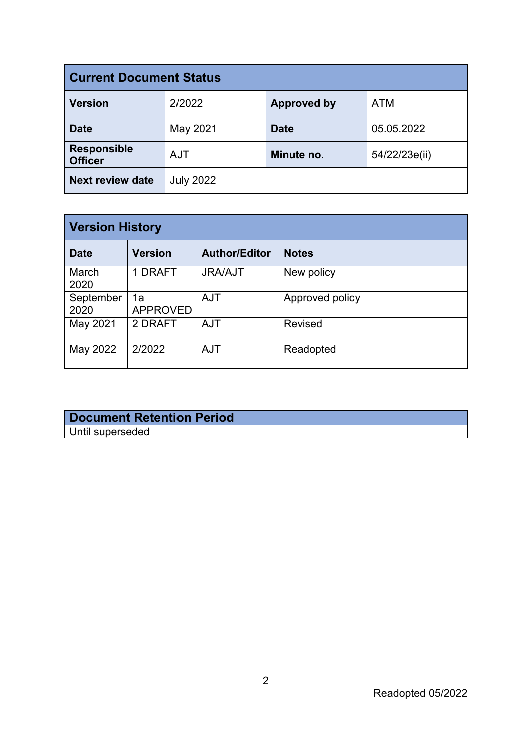| <b>Current Document Status</b>       |                  |                    |               |  |
|--------------------------------------|------------------|--------------------|---------------|--|
| <b>Version</b>                       | 2/2022           | <b>Approved by</b> | <b>ATM</b>    |  |
| <b>Date</b>                          | May 2021         | <b>Date</b>        | 05.05.2022    |  |
| <b>Responsible</b><br><b>Officer</b> | <b>AJT</b>       | Minute no.         | 54/22/23e(ii) |  |
| <b>Next review date</b>              | <b>July 2022</b> |                    |               |  |

| <b>Version History</b> |                       |                      |                 |  |
|------------------------|-----------------------|----------------------|-----------------|--|
| <b>Date</b>            | <b>Version</b>        | <b>Author/Editor</b> | <b>Notes</b>    |  |
| March<br>2020          | 1 DRAFT               | <b>JRA/AJT</b>       | New policy      |  |
| September<br>2020      | 1a<br><b>APPROVED</b> | <b>AJT</b>           | Approved policy |  |
| May 2021               | 2 DRAFT               | <b>AJT</b>           | <b>Revised</b>  |  |
| May 2022               | 2/2022                | <b>AJT</b>           | Readopted       |  |

## **Document Retention Period** Until superseded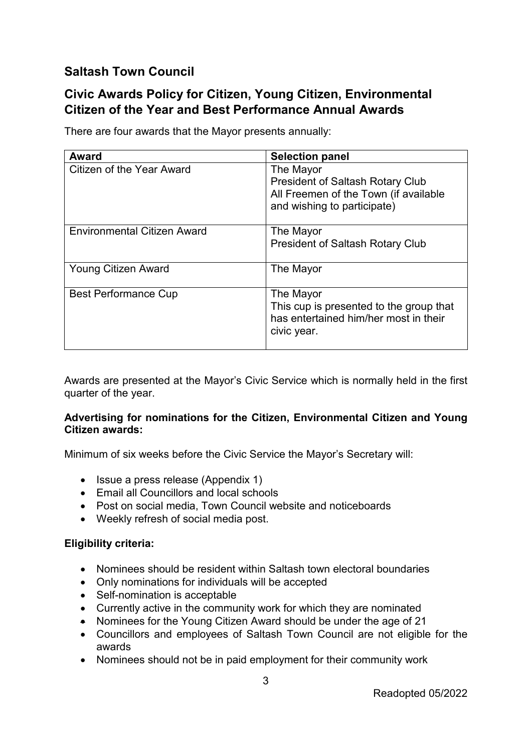## **Saltash Town Council**

## **Civic Awards Policy for Citizen, Young Citizen, Environmental Citizen of the Year and Best Performance Annual Awards**

| <b>Award</b>                       | <b>Selection panel</b>                                                                                                       |
|------------------------------------|------------------------------------------------------------------------------------------------------------------------------|
| Citizen of the Year Award          | The Mayor<br><b>President of Saltash Rotary Club</b><br>All Freemen of the Town (if available<br>and wishing to participate) |
| <b>Environmental Citizen Award</b> | The Mayor<br><b>President of Saltash Rotary Club</b>                                                                         |
| <b>Young Citizen Award</b>         | The Mayor                                                                                                                    |
| <b>Best Performance Cup</b>        | The Mayor<br>This cup is presented to the group that<br>has entertained him/her most in their<br>civic year.                 |

There are four awards that the Mayor presents annually:

Awards are presented at the Mayor's Civic Service which is normally held in the first quarter of the year.

#### **Advertising for nominations for the Citizen, Environmental Citizen and Young Citizen awards:**

Minimum of six weeks before the Civic Service the Mayor's Secretary will:

- Issue a press release (Appendix 1)
- Email all Councillors and local schools
- Post on social media, Town Council website and noticeboards
- Weekly refresh of social media post.

#### **Eligibility criteria:**

- Nominees should be resident within Saltash town electoral boundaries
- Only nominations for individuals will be accepted
- Self-nomination is acceptable
- Currently active in the community work for which they are nominated
- Nominees for the Young Citizen Award should be under the age of 21
- Councillors and employees of Saltash Town Council are not eligible for the awards
- Nominees should not be in paid employment for their community work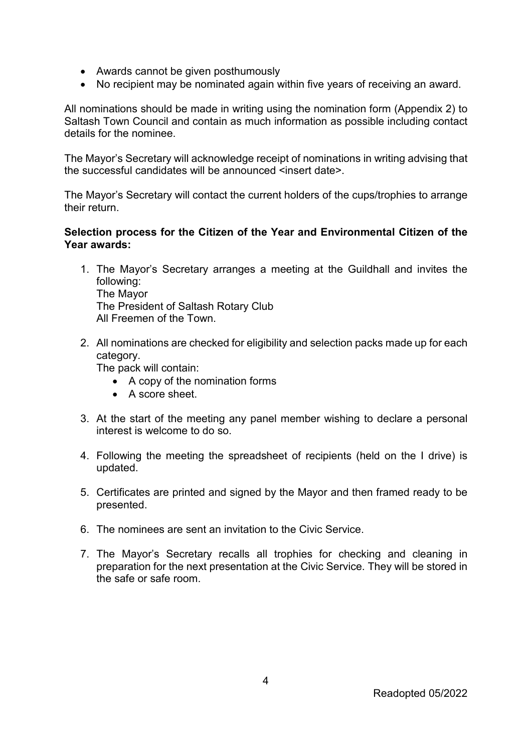- Awards cannot be given posthumously
- No recipient may be nominated again within five years of receiving an award.

All nominations should be made in writing using the nomination form (Appendix 2) to Saltash Town Council and contain as much information as possible including contact details for the nominee.

The Mayor's Secretary will acknowledge receipt of nominations in writing advising that the successful candidates will be announced <insert date>.

The Mayor's Secretary will contact the current holders of the cups/trophies to arrange their return.

#### **Selection process for the Citizen of the Year and Environmental Citizen of the Year awards:**

- 1. The Mayor's Secretary arranges a meeting at the Guildhall and invites the following: The Mayor The President of Saltash Rotary Club All Freemen of the Town.
- 2. All nominations are checked for eligibility and selection packs made up for each category.

The pack will contain:

- A copy of the nomination forms
- A score sheet.
- 3. At the start of the meeting any panel member wishing to declare a personal interest is welcome to do so.
- 4. Following the meeting the spreadsheet of recipients (held on the I drive) is updated.
- 5. Certificates are printed and signed by the Mayor and then framed ready to be presented.
- 6. The nominees are sent an invitation to the Civic Service.
- 7. The Mayor's Secretary recalls all trophies for checking and cleaning in preparation for the next presentation at the Civic Service. They will be stored in the safe or safe room.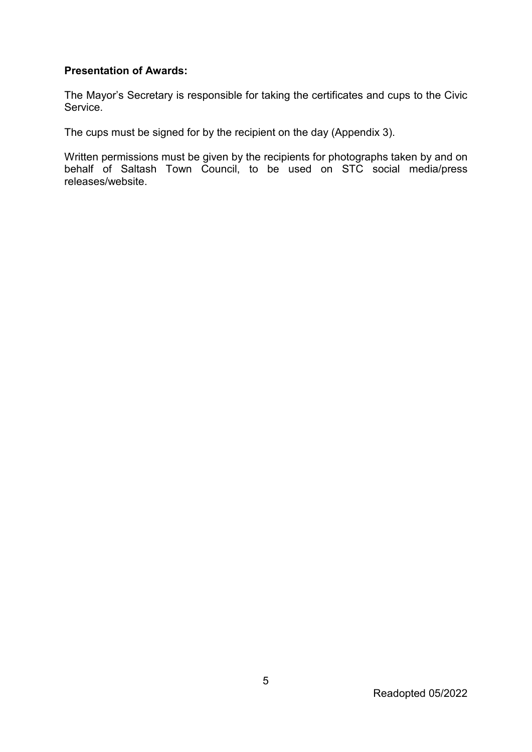#### **Presentation of Awards:**

The Mayor's Secretary is responsible for taking the certificates and cups to the Civic Service.

The cups must be signed for by the recipient on the day (Appendix 3).

Written permissions must be given by the recipients for photographs taken by and on behalf of Saltash Town Council, to be used on STC social media/press releases/website.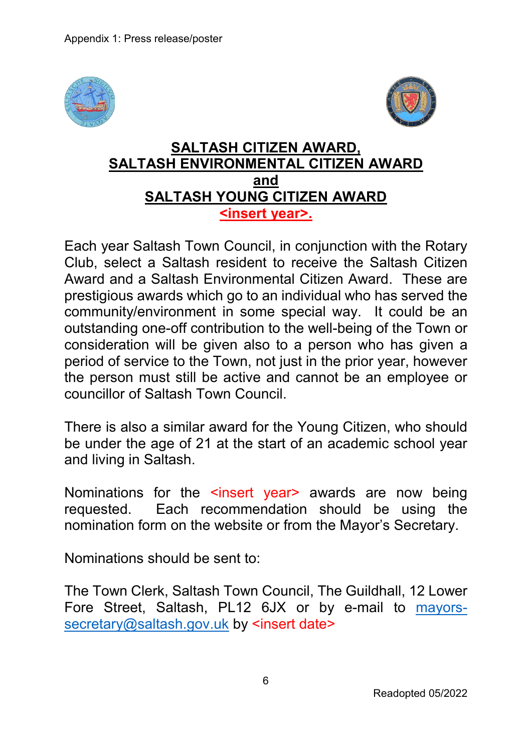



## **SALTASH CITIZEN AWARD, SALTASH ENVIRONMENTAL CITIZEN AWARD and SALTASH YOUNG CITIZEN AWARD <insert year>.**

Each year Saltash Town Council, in conjunction with the Rotary Club, select a Saltash resident to receive the Saltash Citizen Award and a Saltash Environmental Citizen Award. These are prestigious awards which go to an individual who has served the community/environment in some special way. It could be an outstanding one-off contribution to the well-being of the Town or consideration will be given also to a person who has given a period of service to the Town, not just in the prior year, however the person must still be active and cannot be an employee or councillor of Saltash Town Council.

There is also a similar award for the Young Citizen, who should be under the age of 21 at the start of an academic school year and living in Saltash.

Nominations for the sinsert year awards are now being requested. Each recommendation should be using the nomination form on the website or from the Mayor's Secretary.

Nominations should be sent to:

The Town Clerk, Saltash Town Council, The Guildhall, 12 Lower Fore Street, Saltash, PL12 6JX or by e-mail to mayorssecretary@saltash.gov.uk by <insert date>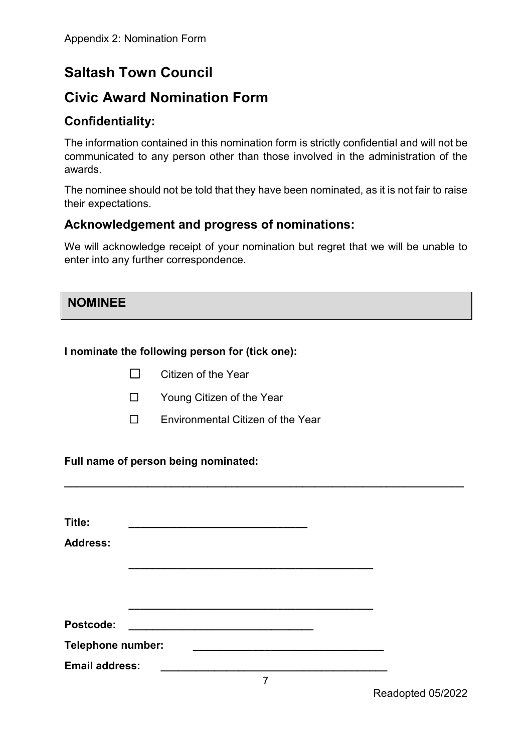# **Saltash Town Council**

# **Civic Award Nomination Form**

## **Confidentiality:**

The information contained in this nomination form is strictly confidential and will not be communicated to any person other than those involved in the administration of the awards.

The nominee should not be told that they have been nominated, as it is not fair to raise their expectations.

## **Acknowledgement and progress of nominations:**

We will acknowledge receipt of your nomination but regret that we will be unable to enter into any further correspondence.

## **NOMINEE**

## **I nominate the following person for (tick one):**

- ☐ Citizen of the Year
- ☐ Young Citizen of the Year
- ☐ Environmental Citizen of the Year

## **Full name of person being nominated:**

| Title:                   |  |  |  |
|--------------------------|--|--|--|
| <b>Address:</b>          |  |  |  |
|                          |  |  |  |
|                          |  |  |  |
|                          |  |  |  |
| <b>Postcode:</b>         |  |  |  |
| <b>Telephone number:</b> |  |  |  |
| <b>Email address:</b>    |  |  |  |

**\_\_\_\_\_\_\_\_\_\_\_\_\_\_\_\_\_\_\_\_\_\_\_\_\_\_\_\_\_\_\_\_\_\_\_\_\_\_\_\_\_\_\_\_\_\_\_\_\_\_\_\_\_\_\_\_\_\_\_\_\_\_\_\_\_\_\_**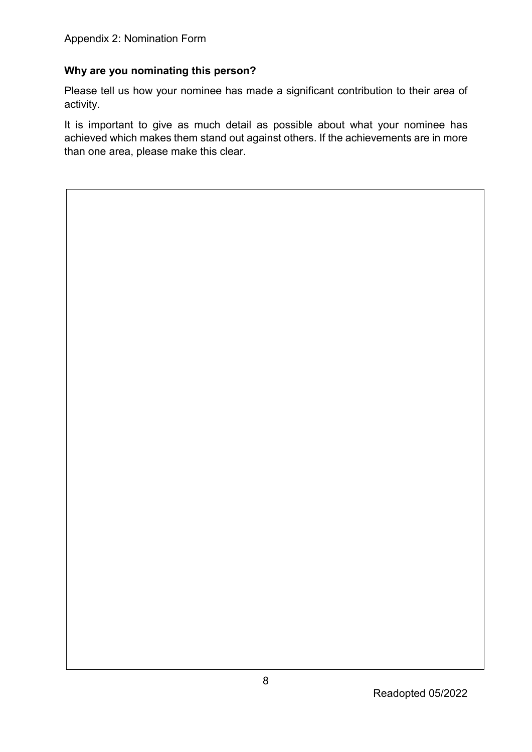## **Why are you nominating this person?**

Please tell us how your nominee has made a significant contribution to their area of activity.

It is important to give as much detail as possible about what your nominee has achieved which makes them stand out against others. If the achievements are in more than one area, please make this clear.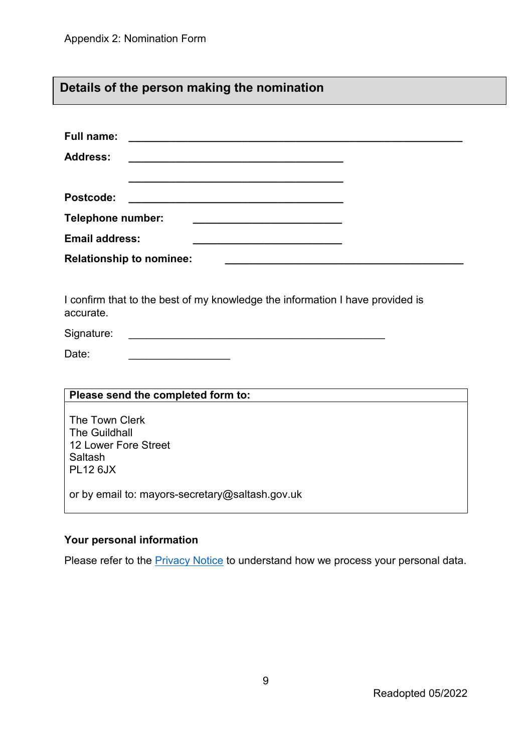# **Details of the person making the nomination**

| <b>Full name:</b>                                                                                                                        |
|------------------------------------------------------------------------------------------------------------------------------------------|
| <b>Address:</b><br><u> 1980 - Jan Berlin, mension berlindar berlindar berlindar berlindar berlinda berlindar berlinda berlindar berl</u> |
|                                                                                                                                          |
| Postcode:                                                                                                                                |
| <b>Telephone number:</b>                                                                                                                 |
| <b>Email address:</b>                                                                                                                    |
| <b>Relationship to nominee:</b>                                                                                                          |
|                                                                                                                                          |
| I confirm that to the best of my knowledge the information I have provided is<br>accurate.                                               |
| Signature:                                                                                                                               |
| Date:                                                                                                                                    |
|                                                                                                                                          |
| Please send the completed form to:                                                                                                       |
| The Town Clerk<br><b>The Guildhall</b><br>12 Lower Fore Street<br>Saltash<br><b>PL12 6JX</b>                                             |
| or by email to: mayors-secretary@saltash.gov.uk                                                                                          |

## **Your personal information**

Please refer to the **Privacy Notice** to understand how we process your personal data.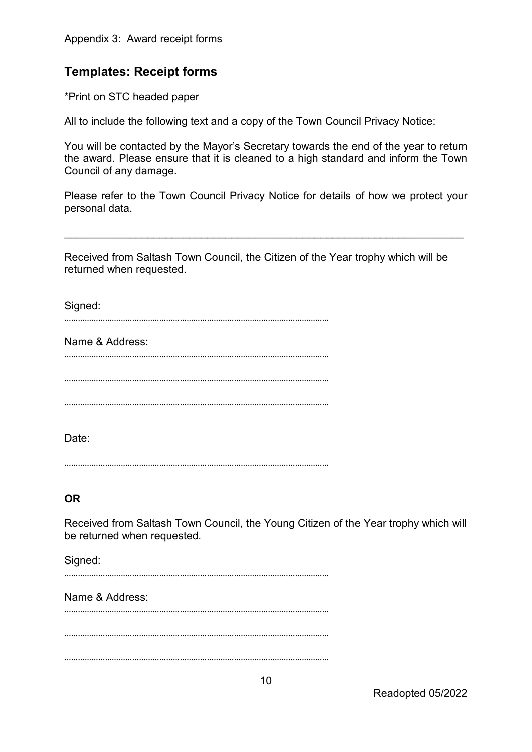## **Templates: Receipt forms**

\*Print on STC headed paper

All to include the following text and a copy of the Town Council Privacy Notice:

You will be contacted by the Mayor's Secretary towards the end of the year to return the award. Please ensure that it is cleaned to a high standard and inform the Town Council of any damage.

Please refer to the Town Council Privacy Notice for details of how we protect your personal data.

\_\_\_\_\_\_\_\_\_\_\_\_\_\_\_\_\_\_\_\_\_\_\_\_\_\_\_\_\_\_\_\_\_\_\_\_\_\_\_\_\_\_\_\_\_\_\_\_\_\_\_\_\_\_\_\_\_\_\_\_\_\_\_\_\_\_\_

Received from Saltash Town Council, the Citizen of the Year trophy which will be returned when requested.

Signed:

………………………………………………………………………………………………………

Name & Address: ………………………………………………………………………………………………………

………………………………………………………………………………………………………

………………………………………………………………………………………………………

Date:

………………………………………………………………………………………………………

## **OR**

Received from Saltash Town Council, the Young Citizen of the Year trophy which will be returned when requested.

Signed:

………………………………………………………………………………………………………

Name & Address: ………………………………………………………………………………………………………

………………………………………………………………………………………………………

………………………………………………………………………………………………………